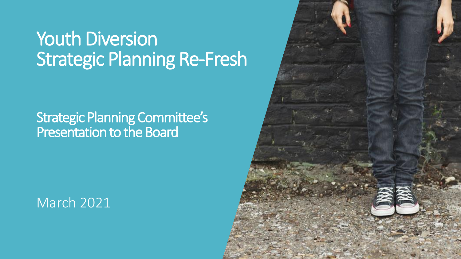### Youth Diversion Strategic Planning Re-Fresh

### Strategic Planning Committee's Presentation to the Board

### March 2021

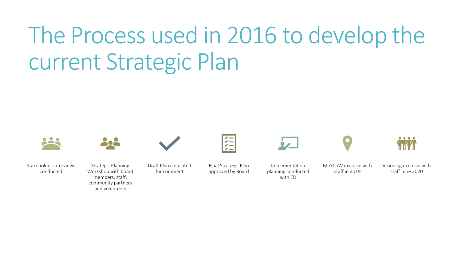# The Process used in 2016 to develop the current Strategic Plan



Stakeholder interviews conducted



Strategic Planning Workshop with board members, staff, community partners and volunteers

Draft Plan circulated for comment



Final Strategic Plan approved by Board

Implementation planning conducted with ED

MoSCoW exercise with staff in 2019

Visioning exercise with staff June 2020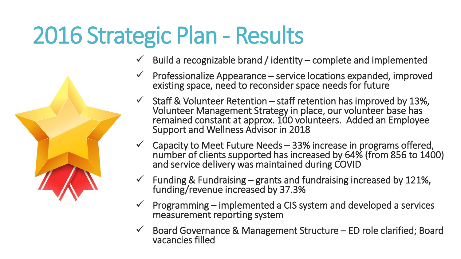# 2016 Strategic Plan - Results

- Build a recognizable brand / identity complete and implemented
- Professionalize Appearance service locations expanded, improved existing space, need to reconsider space needs for future
- $\checkmark$  Staff & Volunteer Retention staff retention has improved by 13%, Volunteer Management Strategy in place, our volunteer base has remained constant at approx. 100 volunteers. Added an Employee Support and Wellness Advisor in 2018
- $\checkmark$  Capacity to Meet Future Needs 33% increase in programs offered, number of clients supported has increased by 64% (from 856 to 1400) and service delivery was maintained during COVID
- $\checkmark$  Funding & Fundraising grants and fundraising increased by 121%, funding/revenue increased by 37.3%
- ✓ Programming implemented a CIS system and developed a services measurement reporting system
- $\checkmark$  Board Governance & Management Structure ED role clarified; Board vacancies filled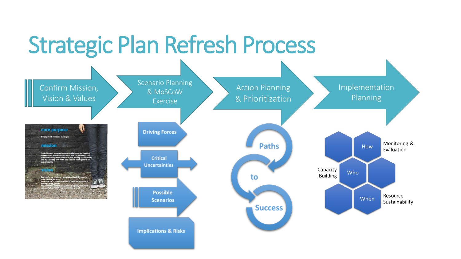# Strategic Plan Refresh Process

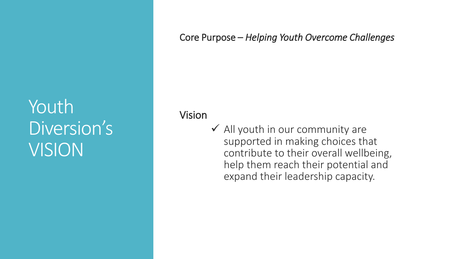### Youth Diversion's VISION

#### Core Purpose – *Helping Youth Overcome Challenges*

Vision

 $\checkmark$  All youth in our community are supported in making choices that contribute to their overall wellbeing, help them reach their potential and expand their leadership capacity.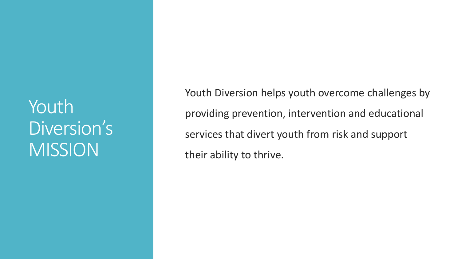Youth Diversion's MISSION

Youth Diversion helps youth overcome challenges by providing prevention, intervention and educational services that divert youth from risk and support their ability to thrive.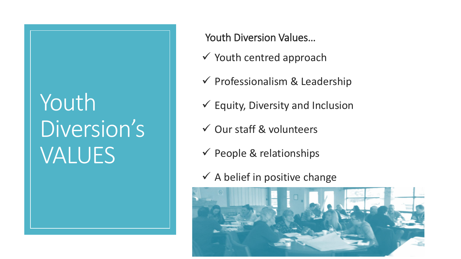## Youth Diversion's VALUES

Youth Diversion Values…

- $\checkmark$  Youth centred approach
- $\checkmark$  Professionalism & Leadership
- $\checkmark$  Equity, Diversity and Inclusion
- ✓ Our staff & volunteers
- $\checkmark$  People & relationships
- $\checkmark$  A belief in positive change

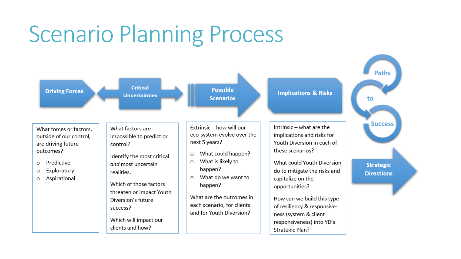### Scenario Planning Process

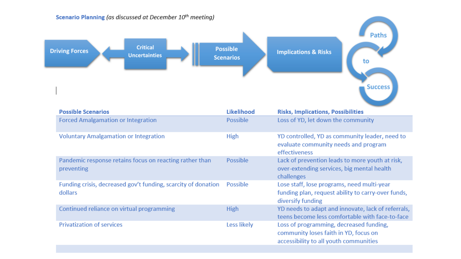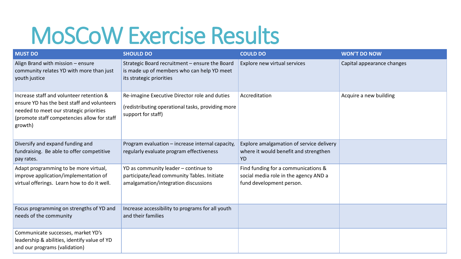### MoSCoW Exercise Results

| <b>MUST DO</b>                                                                                                                                                                               | <b>SHOULD DO</b>                                                                                                            | <b>COULD DO</b>                                                                                          | <b>WON'T DO NOW</b>        |
|----------------------------------------------------------------------------------------------------------------------------------------------------------------------------------------------|-----------------------------------------------------------------------------------------------------------------------------|----------------------------------------------------------------------------------------------------------|----------------------------|
| Align Brand with mission - ensure<br>community relates YD with more than just<br>youth justice                                                                                               | Strategic Board recruitment - ensure the Board<br>is made up of members who can help YD meet<br>its strategic priorities    | Explore new virtual services                                                                             | Capital appearance changes |
| Increase staff and volunteer retention &<br>ensure YD has the best staff and volunteers<br>needed to meet our strategic priorities<br>(promote staff competencies allow for staff<br>growth) | Re-imagine Executive Director role and duties<br>(redistributing operational tasks, providing more<br>support for staff)    | Accreditation                                                                                            | Acquire a new building     |
| Diversify and expand funding and<br>fundraising. Be able to offer competitive<br>pay rates.                                                                                                  | Program evaluation - increase internal capacity,<br>regularly evaluate program effectiveness                                | Explore amalgamation of service delivery<br>where it would benefit and strengthen<br><b>YD</b>           |                            |
| Adapt programming to be more virtual,<br>improve application/implementation of<br>virtual offerings. Learn how to do it well.                                                                | YD as community leader - continue to<br>participate/lead community Tables. Initiate<br>amalgamation/integration discussions | Find funding for a communications &<br>social media role in the agency AND a<br>fund development person. |                            |
| Focus programming on strengths of YD and<br>needs of the community                                                                                                                           | Increase accessibility to programs for all youth<br>and their families                                                      |                                                                                                          |                            |
| Communicate successes, market YD's<br>leadership & abilities, identify value of YD<br>and our programs (validation)                                                                          |                                                                                                                             |                                                                                                          |                            |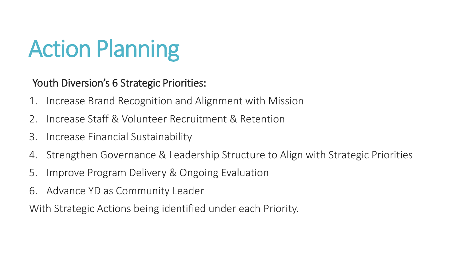# Action Planning

Youth Diversion's 6 Strategic Priorities:

- 1. Increase Brand Recognition and Alignment with Mission
- 2. Increase Staff & Volunteer Recruitment & Retention
- 3. Increase Financial Sustainability
- 4. Strengthen Governance & Leadership Structure to Align with Strategic Priorities
- 5. Improve Program Delivery & Ongoing Evaluation
- 6. Advance YD as Community Leader

With Strategic Actions being identified under each Priority.